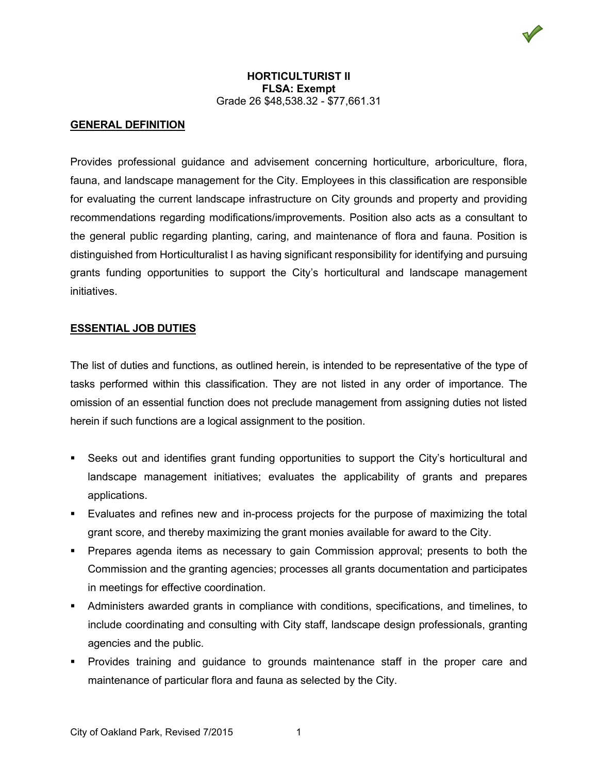

# **GENERAL DEFINITION**

Provides professional guidance and advisement concerning horticulture, arboriculture, flora, fauna, and landscape management for the City. Employees in this classification are responsible for evaluating the current landscape infrastructure on City grounds and property and providing recommendations regarding modifications/improvements. Position also acts as a consultant to the general public regarding planting, caring, and maintenance of flora and fauna. Position is distinguished from Horticulturalist I as having significant responsibility for identifying and pursuing grants funding opportunities to support the City's horticultural and landscape management initiatives.

# **ESSENTIAL JOB DUTIES**

The list of duties and functions, as outlined herein, is intended to be representative of the type of tasks performed within this classification. They are not listed in any order of importance. The omission of an essential function does not preclude management from assigning duties not listed herein if such functions are a logical assignment to the position.

- Seeks out and identifies grant funding opportunities to support the City's horticultural and landscape management initiatives; evaluates the applicability of grants and prepares applications.
- Evaluates and refines new and in-process projects for the purpose of maximizing the total grant score, and thereby maximizing the grant monies available for award to the City.
- Prepares agenda items as necessary to gain Commission approval; presents to both the Commission and the granting agencies; processes all grants documentation and participates in meetings for effective coordination.
- Administers awarded grants in compliance with conditions, specifications, and timelines, to include coordinating and consulting with City staff, landscape design professionals, granting agencies and the public.
- Provides training and guidance to grounds maintenance staff in the proper care and maintenance of particular flora and fauna as selected by the City.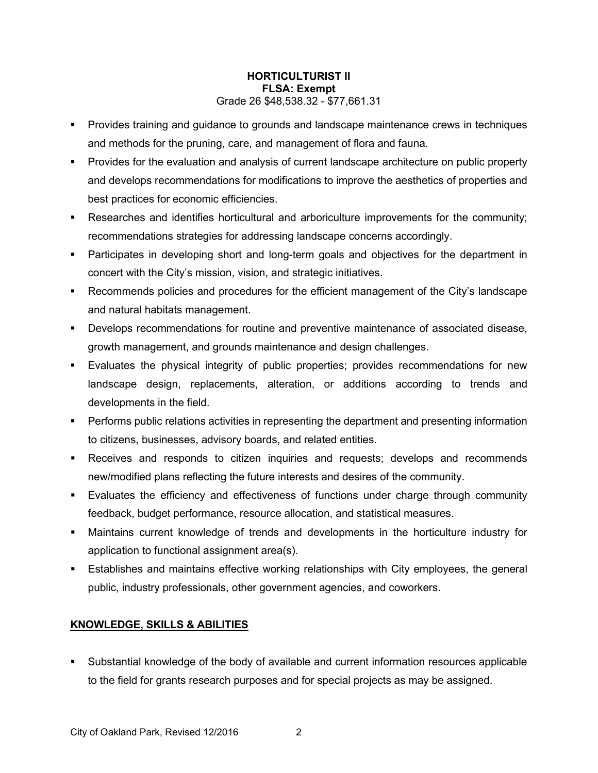- **Provides training and guidance to grounds and landscape maintenance crews in techniques** and methods for the pruning, care, and management of flora and fauna.
- Provides for the evaluation and analysis of current landscape architecture on public property and develops recommendations for modifications to improve the aesthetics of properties and best practices for economic efficiencies.
- Researches and identifies horticultural and arboriculture improvements for the community; recommendations strategies for addressing landscape concerns accordingly.
- Participates in developing short and long-term goals and objectives for the department in concert with the City's mission, vision, and strategic initiatives.
- Recommends policies and procedures for the efficient management of the City's landscape and natural habitats management.
- Develops recommendations for routine and preventive maintenance of associated disease, growth management, and grounds maintenance and design challenges.
- Evaluates the physical integrity of public properties; provides recommendations for new landscape design, replacements, alteration, or additions according to trends and developments in the field.
- Performs public relations activities in representing the department and presenting information to citizens, businesses, advisory boards, and related entities.
- Receives and responds to citizen inquiries and requests; develops and recommends new/modified plans reflecting the future interests and desires of the community.
- Evaluates the efficiency and effectiveness of functions under charge through community feedback, budget performance, resource allocation, and statistical measures.
- Maintains current knowledge of trends and developments in the horticulture industry for application to functional assignment area(s).
- Establishes and maintains effective working relationships with City employees, the general public, industry professionals, other government agencies, and coworkers.

# **KNOWLEDGE, SKILLS & ABILITIES**

 Substantial knowledge of the body of available and current information resources applicable to the field for grants research purposes and for special projects as may be assigned.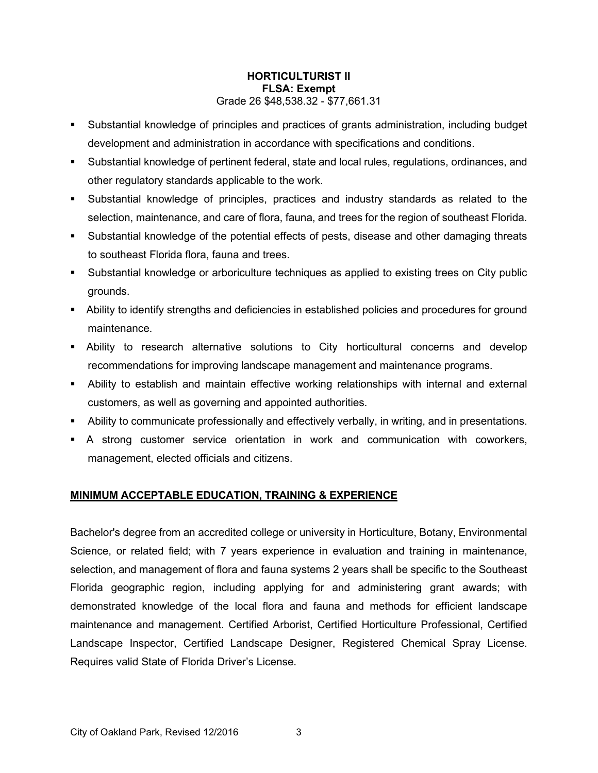- Substantial knowledge of principles and practices of grants administration, including budget development and administration in accordance with specifications and conditions.
- Substantial knowledge of pertinent federal, state and local rules, regulations, ordinances, and other regulatory standards applicable to the work.
- Substantial knowledge of principles, practices and industry standards as related to the selection, maintenance, and care of flora, fauna, and trees for the region of southeast Florida.
- Substantial knowledge of the potential effects of pests, disease and other damaging threats to southeast Florida flora, fauna and trees.
- Substantial knowledge or arboriculture techniques as applied to existing trees on City public grounds.
- Ability to identify strengths and deficiencies in established policies and procedures for ground maintenance.
- Ability to research alternative solutions to City horticultural concerns and develop recommendations for improving landscape management and maintenance programs.
- Ability to establish and maintain effective working relationships with internal and external customers, as well as governing and appointed authorities.
- Ability to communicate professionally and effectively verbally, in writing, and in presentations.
- A strong customer service orientation in work and communication with coworkers, management, elected officials and citizens.

# **MINIMUM ACCEPTABLE EDUCATION, TRAINING & EXPERIENCE**

Bachelor's degree from an accredited college or university in Horticulture, Botany, Environmental Science, or related field; with 7 years experience in evaluation and training in maintenance, selection, and management of flora and fauna systems 2 years shall be specific to the Southeast Florida geographic region, including applying for and administering grant awards; with demonstrated knowledge of the local flora and fauna and methods for efficient landscape maintenance and management. Certified Arborist, Certified Horticulture Professional, Certified Landscape Inspector, Certified Landscape Designer, Registered Chemical Spray License. Requires valid State of Florida Driver's License.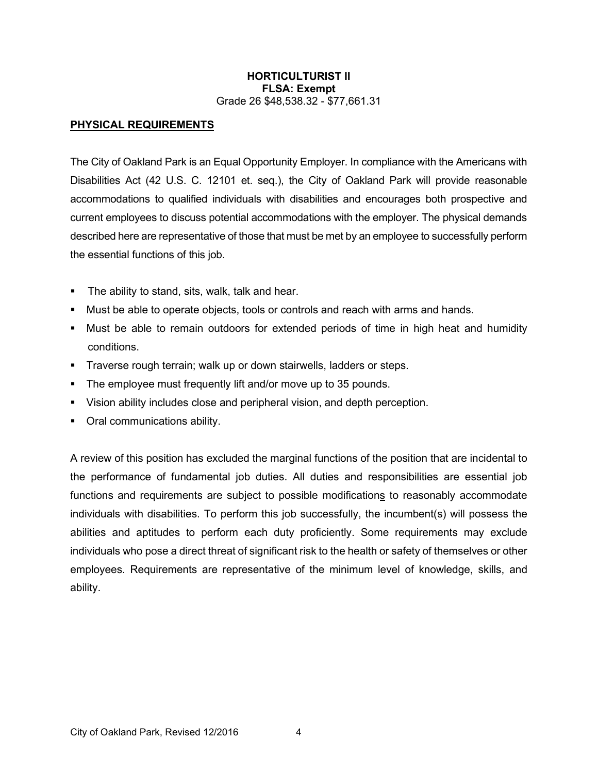# **PHYSICAL REQUIREMENTS**

The City of Oakland Park is an Equal Opportunity Employer. In compliance with the Americans with Disabilities Act (42 U.S. C. 12101 et. seq.), the City of Oakland Park will provide reasonable accommodations to qualified individuals with disabilities and encourages both prospective and current employees to discuss potential accommodations with the employer. The physical demands described here are representative of those that must be met by an employee to successfully perform the essential functions of this job.

- **The ability to stand, sits, walk, talk and hear.**
- Must be able to operate objects, tools or controls and reach with arms and hands.
- Must be able to remain outdoors for extended periods of time in high heat and humidity conditions.
- **Traverse rough terrain; walk up or down stairwells, ladders or steps.**
- The employee must frequently lift and/or move up to 35 pounds.
- Vision ability includes close and peripheral vision, and depth perception.
- Oral communications ability.

A review of this position has excluded the marginal functions of the position that are incidental to the performance of fundamental job duties. All duties and responsibilities are essential job functions and requirements are subject to possible modifications to reasonably accommodate individuals with disabilities. To perform this job successfully, the incumbent(s) will possess the abilities and aptitudes to perform each duty proficiently. Some requirements may exclude individuals who pose a direct threat of significant risk to the health or safety of themselves or other employees. Requirements are representative of the minimum level of knowledge, skills, and ability.